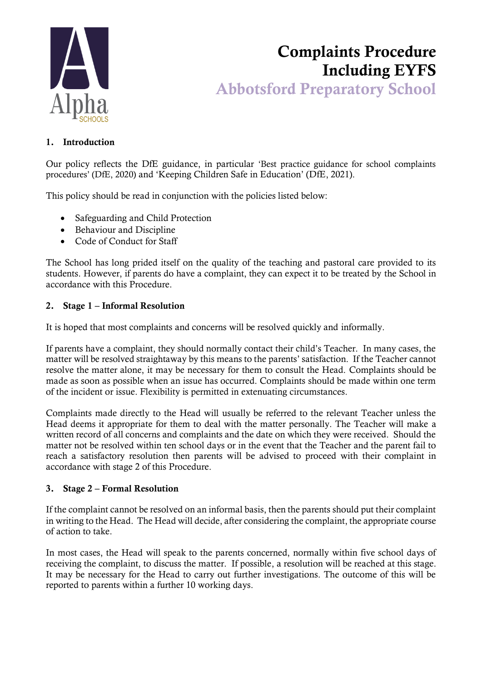

# Complaints Procedure Including EYFS Abbotsford Preparatory School

### 1. Introduction

Our policy reflects the DfE guidance, in particular 'Best practice guidance for school complaints procedures' (DfE, 2020) and 'Keeping Children Safe in Education' (DfE, 2021).

This policy should be read in conjunction with the policies listed below:

- Safeguarding and Child Protection
- Behaviour and Discipline
- Code of Conduct for Staff

The School has long prided itself on the quality of the teaching and pastoral care provided to its students. However, if parents do have a complaint, they can expect it to be treated by the School in accordance with this Procedure.

#### 2. Stage 1 – Informal Resolution

It is hoped that most complaints and concerns will be resolved quickly and informally.

If parents have a complaint, they should normally contact their child's Teacher. In many cases, the matter will be resolved straightaway by this means to the parents' satisfaction. If the Teacher cannot resolve the matter alone, it may be necessary for them to consult the Head. Complaints should be made as soon as possible when an issue has occurred. Complaints should be made within one term of the incident or issue. Flexibility is permitted in extenuating circumstances.

Complaints made directly to the Head will usually be referred to the relevant Teacher unless the Head deems it appropriate for them to deal with the matter personally. The Teacher will make a written record of all concerns and complaints and the date on which they were received. Should the matter not be resolved within ten school days or in the event that the Teacher and the parent fail to reach a satisfactory resolution then parents will be advised to proceed with their complaint in accordance with stage 2 of this Procedure.

#### 3. Stage 2 – Formal Resolution

If the complaint cannot be resolved on an informal basis, then the parents should put their complaint in writing to the Head. The Head will decide, after considering the complaint, the appropriate course of action to take.

In most cases, the Head will speak to the parents concerned, normally within five school days of receiving the complaint, to discuss the matter. If possible, a resolution will be reached at this stage. It may be necessary for the Head to carry out further investigations. The outcome of this will be reported to parents within a further 10 working days.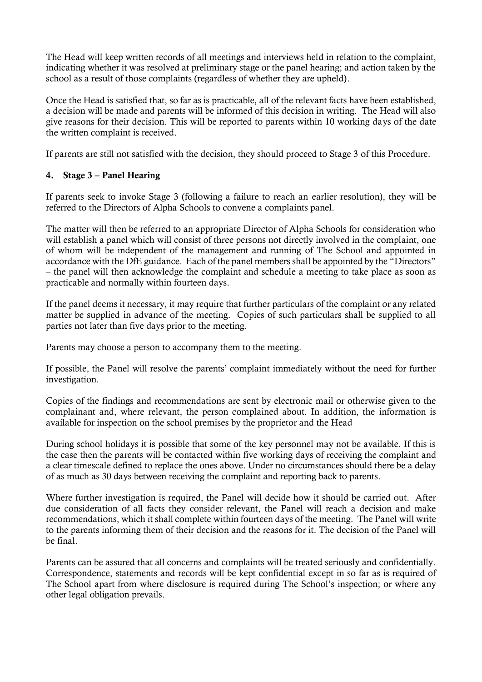The Head will keep written records of all meetings and interviews held in relation to the complaint, indicating whether it was resolved at preliminary stage or the panel hearing; and action taken by the school as a result of those complaints (regardless of whether they are upheld).

Once the Head is satisfied that, so far as is practicable, all of the relevant facts have been established, a decision will be made and parents will be informed of this decision in writing. The Head will also give reasons for their decision. This will be reported to parents within 10 working days of the date the written complaint is received.

If parents are still not satisfied with the decision, they should proceed to Stage 3 of this Procedure.

## 4. Stage 3 – Panel Hearing

If parents seek to invoke Stage 3 (following a failure to reach an earlier resolution), they will be referred to the Directors of Alpha Schools to convene a complaints panel.

The matter will then be referred to an appropriate Director of Alpha Schools for consideration who will establish a panel which will consist of three persons not directly involved in the complaint, one of whom will be independent of the management and running of The School and appointed in accordance with the DfE guidance. Each of the panel members shall be appointed by the "Directors" – the panel will then acknowledge the complaint and schedule a meeting to take place as soon as practicable and normally within fourteen days.

If the panel deems it necessary, it may require that further particulars of the complaint or any related matter be supplied in advance of the meeting. Copies of such particulars shall be supplied to all parties not later than five days prior to the meeting.

Parents may choose a person to accompany them to the meeting.

If possible, the Panel will resolve the parents' complaint immediately without the need for further investigation.

Copies of the findings and recommendations are sent by electronic mail or otherwise given to the complainant and, where relevant, the person complained about. In addition, the information is available for inspection on the school premises by the proprietor and the Head

During school holidays it is possible that some of the key personnel may not be available. If this is the case then the parents will be contacted within five working days of receiving the complaint and a clear timescale defined to replace the ones above. Under no circumstances should there be a delay of as much as 30 days between receiving the complaint and reporting back to parents.

Where further investigation is required, the Panel will decide how it should be carried out. After due consideration of all facts they consider relevant, the Panel will reach a decision and make recommendations, which it shall complete within fourteen days of the meeting. The Panel will write to the parents informing them of their decision and the reasons for it. The decision of the Panel will be final.

Parents can be assured that all concerns and complaints will be treated seriously and confidentially. Correspondence, statements and records will be kept confidential except in so far as is required of The School apart from where disclosure is required during The School's inspection; or where any other legal obligation prevails.